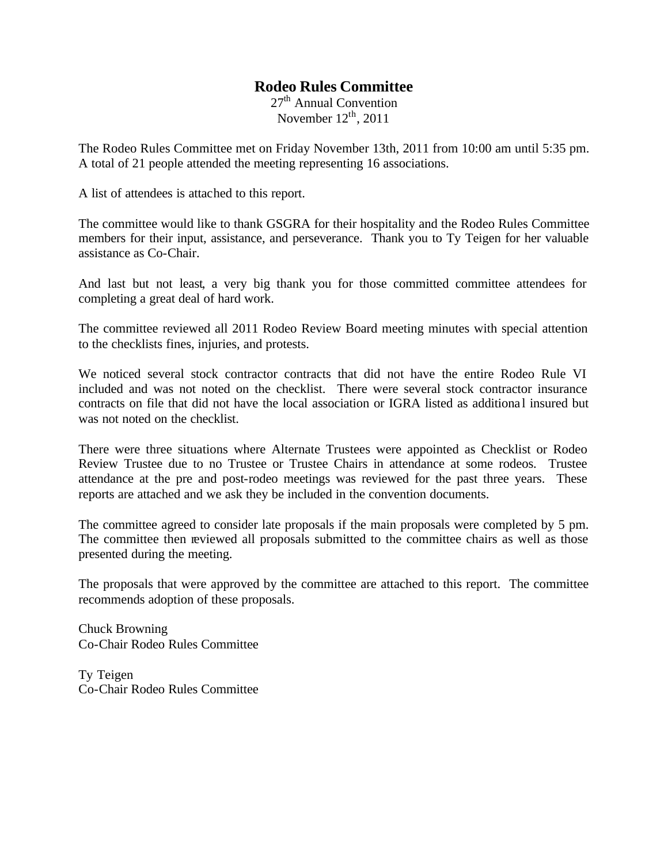## **Rodeo Rules Committee**

 $27<sup>th</sup>$  Annual Convention November  $12<sup>th</sup>$ , 2011

The Rodeo Rules Committee met on Friday November 13th, 2011 from 10:00 am until 5:35 pm. A total of 21 people attended the meeting representing 16 associations.

A list of attendees is attached to this report.

The committee would like to thank GSGRA for their hospitality and the Rodeo Rules Committee members for their input, assistance, and perseverance. Thank you to Ty Teigen for her valuable assistance as Co-Chair.

And last but not least, a very big thank you for those committed committee attendees for completing a great deal of hard work.

The committee reviewed all 2011 Rodeo Review Board meeting minutes with special attention to the checklists fines, injuries, and protests.

We noticed several stock contractor contracts that did not have the entire Rodeo Rule VI included and was not noted on the checklist. There were several stock contractor insurance contracts on file that did not have the local association or IGRA listed as additiona l insured but was not noted on the checklist.

There were three situations where Alternate Trustees were appointed as Checklist or Rodeo Review Trustee due to no Trustee or Trustee Chairs in attendance at some rodeos. Trustee attendance at the pre and post-rodeo meetings was reviewed for the past three years. These reports are attached and we ask they be included in the convention documents.

The committee agreed to consider late proposals if the main proposals were completed by 5 pm. The committee then reviewed all proposals submitted to the committee chairs as well as those presented during the meeting.

The proposals that were approved by the committee are attached to this report. The committee recommends adoption of these proposals.

Chuck Browning Co-Chair Rodeo Rules Committee

Ty Teigen Co-Chair Rodeo Rules Committee